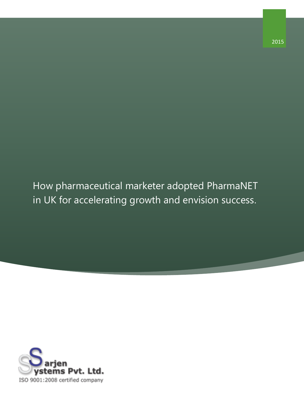How pharmaceutical marketer adopted PharmaNET in UK for accelerating growth and envision success.

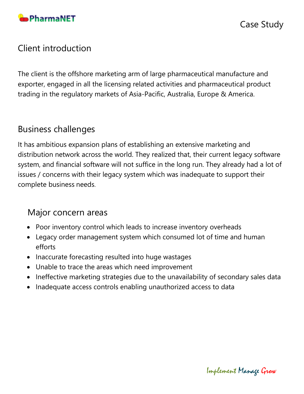

## Client introduction

The client is the offshore marketing arm of large pharmaceutical manufacture and exporter, engaged in all the licensing related activities and pharmaceutical product trading in the regulatory markets of Asia-Pacific, Australia, Europe & America.

## Business challenges

It has ambitious expansion plans of establishing an extensive marketing and distribution network across the world. They realized that, their current legacy software system, and financial software will not suffice in the long run. They already had a lot of issues / concerns with their legacy system which was inadequate to support their complete business needs.

## Major concern areas

- Poor inventory control which leads to increase inventory overheads
- Legacy order management system which consumed lot of time and human efforts
- Inaccurate forecasting resulted into huge wastages
- Unable to trace the areas which need improvement
- Ineffective marketing strategies due to the unavailability of secondary sales data
- Inadequate access controls enabling unauthorized access to data

Implement Manage Grow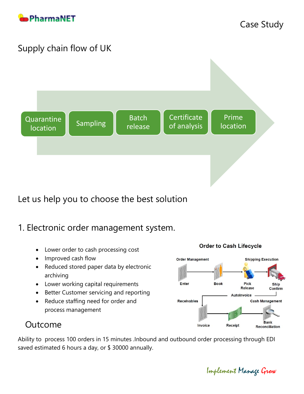

# Supply chain flow of UK



Let us help you to choose the best solution

## 1. Electronic order management system.

- Lower order to cash processing cost
- Improved cash flow
- Reduced stored paper data by electronic archiving
- Lower working capital requirements
- Better Customer servicing and reporting
- Reduce staffing need for order and process management



## Outcome

Ability to process 100 orders in 15 minutes .Inbound and outbound order processing through EDI saved estimated 6 hours a day, or \$ 30000 annually.

Implement Manage Grow

#### **Order to Cash Lifecycle**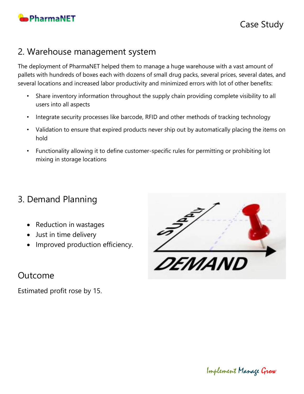

## 2. Warehouse management system

The deployment of PharmaNET helped them to manage a huge warehouse with a vast amount of pallets with hundreds of boxes each with dozens of small drug packs, several prices, several dates, and several locations and increased labor productivity and minimized errors with lot of other benefits:

- Share inventory information throughout the supply chain providing complete visibility to all users into all aspects
- Integrate security processes like barcode, RFID and other methods of tracking technology
- Validation to ensure that expired products never ship out by automatically placing the items on hold
- Functionality allowing it to define customer-specific rules for permitting or prohibiting lot mixing in storage locations

# 3. Demand Planning

- Reduction in wastages
- Just in time delivery
- Improved production efficiency.

*DEMAND* 

Outcome

Estimated profit rose by 15.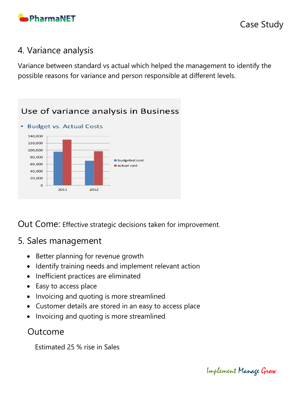

## 4. Variance analysis

Variance between standard vs actual which helped the management to identify the possible reasons for variance and person responsible at different levels.

#### Use of variance analysis in Business • Budget vs. Actual Costs 140,000 120,000 100,000 80,000 budgeted cost 60,000 actual cost 40,000 20,000  $\circ$

2012

Out Come: Effective strategic decisions taken for improvement.

### 5. Sales management

2011

- Better planning for revenue growth
- Identify training needs and implement relevant action
- Inefficient practices are eliminated
- Easy to access place
- Invoicing and quoting is more streamlined
- Customer details are stored in an easy to access place
- Invoicing and quoting is more streamlined

## Outcome

Estimated 25 % rise in Sales

Implement Manage Grow